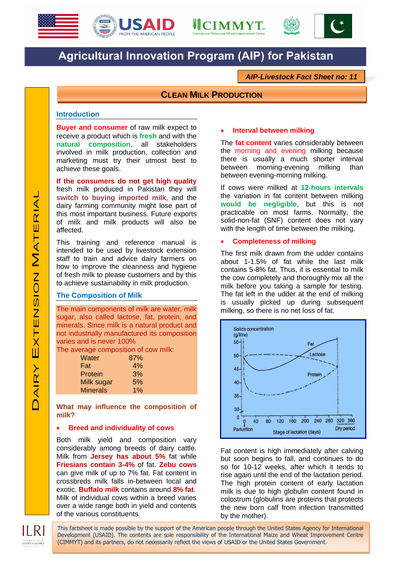





# **Agricultural Innovation Program (AIP) for Pakistan**

*AIP-Livestock Fact Sheet no: 11*

# **CLEAN MILK PRODUCTION**

## **Introduction**

**Buyer and consumer** of raw milk expect to receive a product which is **fresh** and with the **natural composition**, all stakeholders involved in milk production, collection and marketing must try their utmost best to achieve these goals.

**If the consumers do not get high quality** fresh milk produced in Pakistan they will **switch to buying imported milk**, and the dairy farming community might lose part of this most important business. Future exports of milk and milk products will also be affected.

This training and reference manual is intended to be used by livestock extension staff to train and advice dairy farmers on how to improve the cleanness and hygiene of fresh milk to please customers and by this to achieve sustainability in milk production.

#### **The Composition of Milk**

The main components of milk are water, milk sugar, also called lactose, fat, protein, and minerals. Since milk is a natural product and not industrially manufactured its composition varies and is never 100%

The average composition of cow milk:

| Water           | 87% |
|-----------------|-----|
| Fat             | 4%  |
| Protein         | 3%  |
| Milk sugar      | 5%  |
| <b>Minerals</b> | 1%  |

**What may influence the composition of milk?**

#### **Breed and individuality of cows**

Both milk yield and composition vary considerably among breeds of dairy cattle. Milk from **Jersey has about 5%** fat while **Friesians contain 3-4%** of fat. **Zebu cows** can give milk of up to 7% fat. Fat content in crossbreds milk falls in-between local and exotic. **Buffalo milk** contains around **8% fat**. Milk of individual cows within a breed varies over a wide range both in yield and contents of the various constituents.

#### **Interval between milking**

The **fat content** varies considerably between the morning and evening milking because there is usually a much shorter interval between morning-evening milking than between evening-morning milking.

If cows were milked at **12-hours intervals**  the variation in fat content between milking **would be negligible**, but this is not practicable on most farms. Normally, the solid-non-fat (SNF) content does not vary with the length of time between the milking.

#### **Completeness of milking**

The first milk drawn from the udder contains about 1-1.5% of fat while the last milk contains 5-8% fat. Thus, it is essential to milk the cow completely and thoroughly mix all the milk before you taking a sample for testing. The fat left in the udder at the end of milking is usually picked up during subsequent milking, so there is no net loss of fat.



Fat content is high immediately after calving but soon begins to fall, and continues to do so for 10-12 weeks, after which it tends to rise again until the end of the lactation period. The high protein content of early lactation milk is due to high globulin content found in colostrum (globulins are proteins that protects the new born calf from infection transmitted by the mother).

II RI

This factsheet is made possible by the support of the American people through the United States Agency for International Development (USAID). The contents are sole responsibility of the International Maize and Wheat Improvement Centre (CIMMYT) and its partners, do not necessarily reflect the views of USAID or the United States Government.